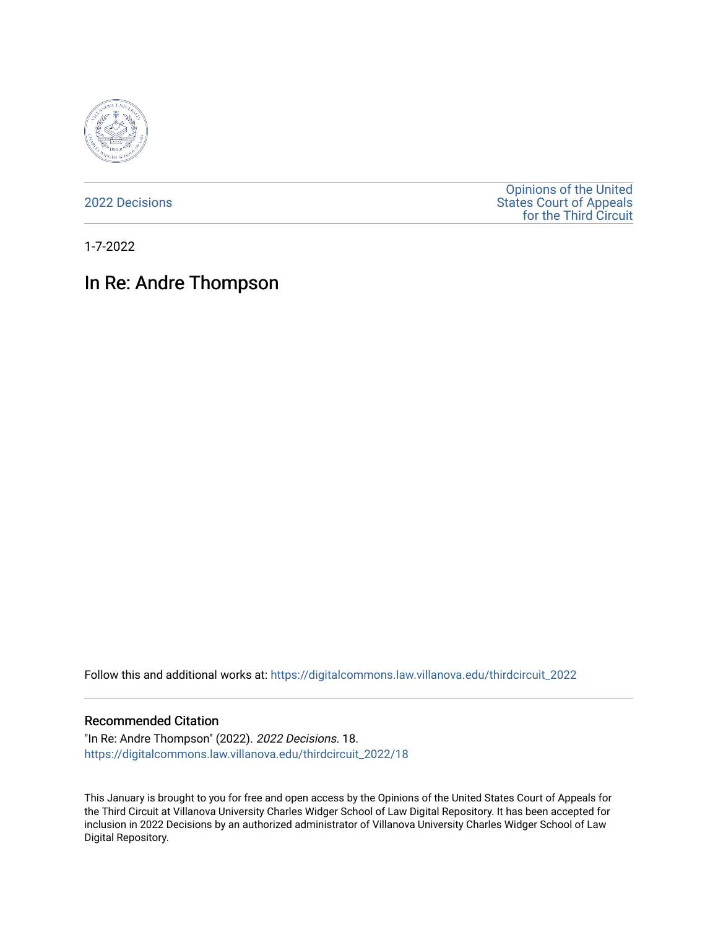

[2022 Decisions](https://digitalcommons.law.villanova.edu/thirdcircuit_2022)

[Opinions of the United](https://digitalcommons.law.villanova.edu/thirdcircuit)  [States Court of Appeals](https://digitalcommons.law.villanova.edu/thirdcircuit)  [for the Third Circuit](https://digitalcommons.law.villanova.edu/thirdcircuit) 

1-7-2022

# In Re: Andre Thompson

Follow this and additional works at: [https://digitalcommons.law.villanova.edu/thirdcircuit\\_2022](https://digitalcommons.law.villanova.edu/thirdcircuit_2022?utm_source=digitalcommons.law.villanova.edu%2Fthirdcircuit_2022%2F18&utm_medium=PDF&utm_campaign=PDFCoverPages) 

#### Recommended Citation

"In Re: Andre Thompson" (2022). 2022 Decisions. 18. [https://digitalcommons.law.villanova.edu/thirdcircuit\\_2022/18](https://digitalcommons.law.villanova.edu/thirdcircuit_2022/18?utm_source=digitalcommons.law.villanova.edu%2Fthirdcircuit_2022%2F18&utm_medium=PDF&utm_campaign=PDFCoverPages)

This January is brought to you for free and open access by the Opinions of the United States Court of Appeals for the Third Circuit at Villanova University Charles Widger School of Law Digital Repository. It has been accepted for inclusion in 2022 Decisions by an authorized administrator of Villanova University Charles Widger School of Law Digital Repository.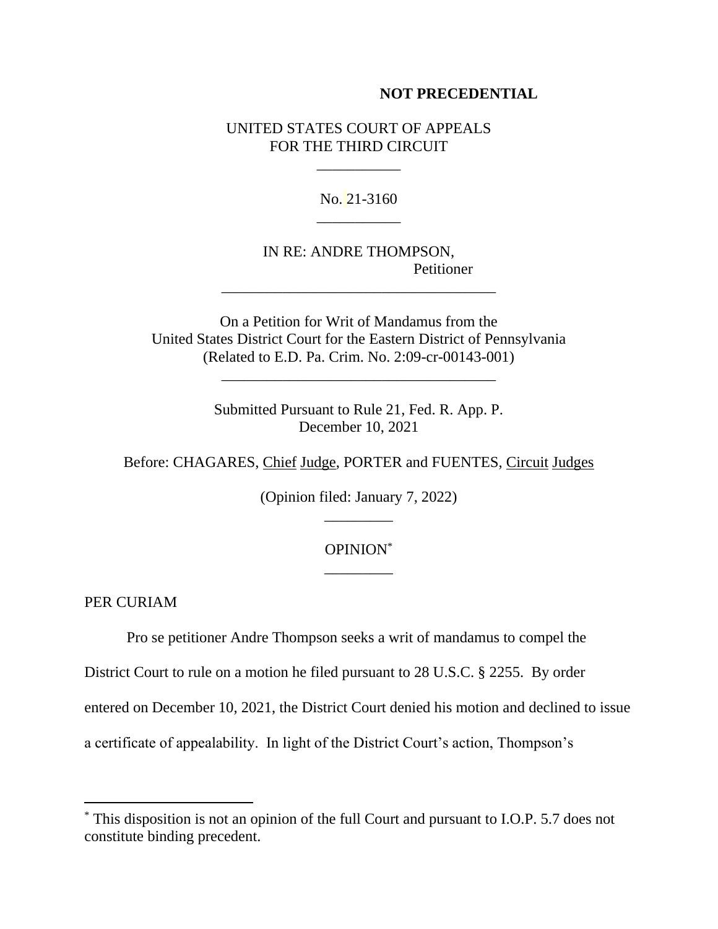### **NOT PRECEDENTIAL**

## UNITED STATES COURT OF APPEALS FOR THE THIRD CIRCUIT

\_\_\_\_\_\_\_\_\_\_\_

No. 21-3160 \_\_\_\_\_\_\_\_\_\_\_

IN RE: ANDRE THOMPSON, Petitioner

On a Petition for Writ of Mandamus from the United States District Court for the Eastern District of Pennsylvania (Related to E.D. Pa. Crim. No. 2:09-cr-00143-001)

\_\_\_\_\_\_\_\_\_\_\_\_\_\_\_\_\_\_\_\_\_\_\_\_\_\_\_\_\_\_\_\_\_\_\_\_

\_\_\_\_\_\_\_\_\_\_\_\_\_\_\_\_\_\_\_\_\_\_\_\_\_\_\_\_\_\_\_\_\_\_\_\_

Submitted Pursuant to Rule 21, Fed. R. App. P. December 10, 2021

Before: CHAGARES, Chief Judge, PORTER and FUENTES, Circuit Judges

(Opinion filed: January 7, 2022) \_\_\_\_\_\_\_\_\_

## OPINION\* \_\_\_\_\_\_\_\_\_

PER CURIAM

Pro se petitioner Andre Thompson seeks a writ of mandamus to compel the

District Court to rule on a motion he filed pursuant to 28 U.S.C. § 2255. By order

entered on December 10, 2021, the District Court denied his motion and declined to issue

a certificate of appealability. In light of the District Court's action, Thompson's

<sup>\*</sup> This disposition is not an opinion of the full Court and pursuant to I.O.P. 5.7 does not constitute binding precedent.